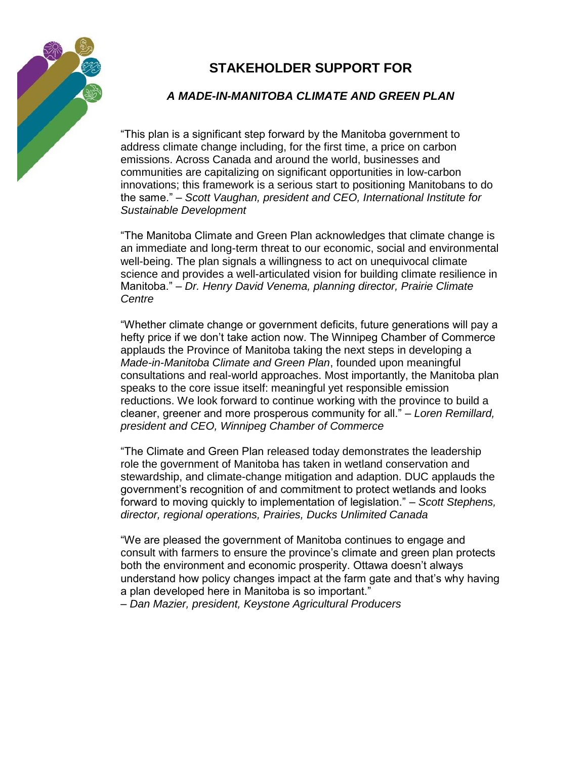

## **STAKEHOLDER SUPPORT FOR**

## *A MADE-IN-MANITOBA CLIMATE AND GREEN PLAN*

"This plan is a significant step forward by the Manitoba government to address climate change including, for the first time, a price on carbon emissions. Across Canada and around the world, businesses and communities are capitalizing on significant opportunities in low-carbon innovations; this framework is a serious start to positioning Manitobans to do the same." – *Scott Vaughan, president and CEO, International Institute for Sustainable Development*

"The Manitoba Climate and Green Plan acknowledges that climate change is an immediate and long-term threat to our economic, social and environmental well-being. The plan signals a willingness to act on unequivocal climate science and provides a well-articulated vision for building climate resilience in Manitoba." *– Dr. Henry David Venema, planning director, Prairie Climate Centre* 

"Whether climate change or government deficits, future generations will pay a hefty price if we don't take action now. The Winnipeg Chamber of Commerce applauds the Province of Manitoba taking the next steps in developing a *Made-in-Manitoba Climate and Green Plan*, founded upon meaningful consultations and real-world approaches. Most importantly, the Manitoba plan speaks to the core issue itself: meaningful yet responsible emission reductions. We look forward to continue working with the province to build a cleaner, greener and more prosperous community for all." *– Loren Remillard, president and CEO, Winnipeg Chamber of Commerce* 

"The Climate and Green Plan released today demonstrates the leadership role the government of Manitoba has taken in wetland conservation and stewardship, and climate-change mitigation and adaption. DUC applauds the government's recognition of and commitment to protect wetlands and looks forward to moving quickly to implementation of legislation." *– Scott Stephens, director, regional operations, Prairies, Ducks Unlimited Canada* 

"We are pleased the government of Manitoba continues to engage and consult with farmers to ensure the province's climate and green plan protects both the environment and economic prosperity. Ottawa doesn't always understand how policy changes impact at the farm gate and that's why having a plan developed here in Manitoba is so important."

*– Dan Mazier, president, Keystone Agricultural Producers*